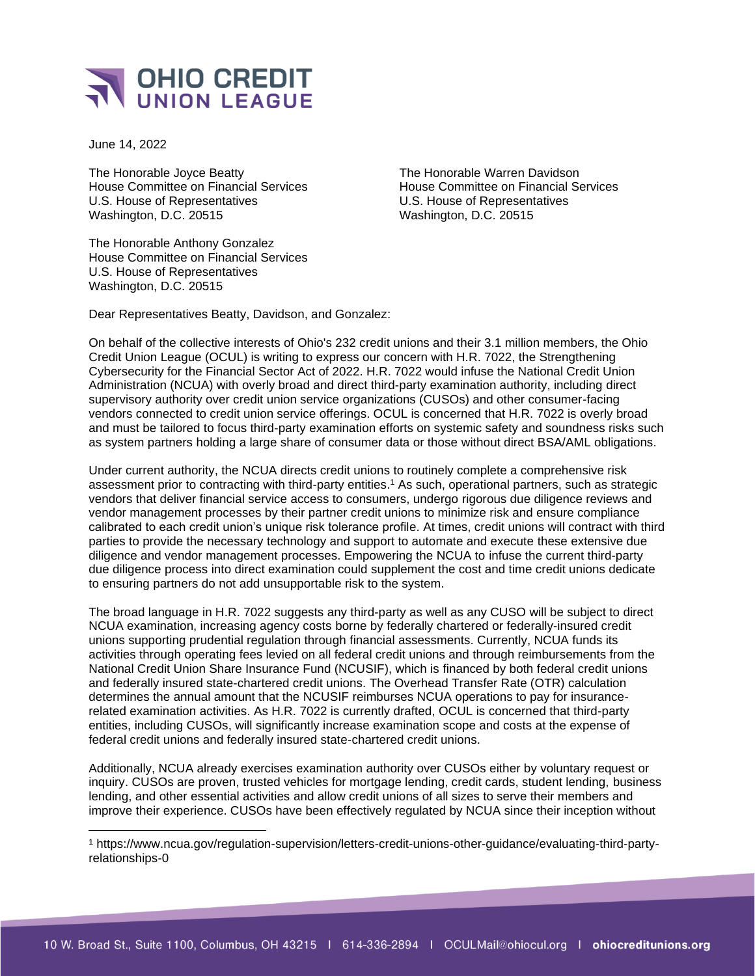

June 14, 2022

The Honorable Joyce Beatty The Honorable Warren Davidson House Committee on Financial Services House Committee on Financial Services U.S. House of Representatives U.S. House of Representatives Washington, D.C. 20515 Washington, D.C. 20515

The Honorable Anthony Gonzalez House Committee on Financial Services U.S. House of Representatives Washington, D.C. 20515

Dear Representatives Beatty, Davidson, and Gonzalez:

On behalf of the collective interests of Ohio's 232 credit unions and their 3.1 million members, the Ohio Credit Union League (OCUL) is writing to express our concern with H.R. 7022, the Strengthening Cybersecurity for the Financial Sector Act of 2022. H.R. 7022 would infuse the National Credit Union Administration (NCUA) with overly broad and direct third-party examination authority, including direct supervisory authority over credit union service organizations (CUSOs) and other consumer-facing vendors connected to credit union service offerings. OCUL is concerned that H.R. 7022 is overly broad and must be tailored to focus third-party examination efforts on systemic safety and soundness risks such as system partners holding a large share of consumer data or those without direct BSA/AML obligations.

Under current authority, the NCUA directs credit unions to routinely complete a comprehensive risk assessment prior to contracting with third-party entities.<sup>1</sup> As such, operational partners, such as strategic vendors that deliver financial service access to consumers, undergo rigorous due diligence reviews and vendor management processes by their partner credit unions to minimize risk and ensure compliance calibrated to each credit union's unique risk tolerance profile. At times, credit unions will contract with third parties to provide the necessary technology and support to automate and execute these extensive due diligence and vendor management processes. Empowering the NCUA to infuse the current third-party due diligence process into direct examination could supplement the cost and time credit unions dedicate to ensuring partners do not add unsupportable risk to the system.

The broad language in H.R. 7022 suggests any third-party as well as any CUSO will be subject to direct NCUA examination, increasing agency costs borne by federally chartered or federally-insured credit unions supporting prudential regulation through financial assessments. Currently, NCUA funds its activities through operating fees levied on all federal credit unions and through reimbursements from the National Credit Union Share Insurance Fund (NCUSIF), which is financed by both federal credit unions and federally insured state-chartered credit unions. The Overhead Transfer Rate (OTR) calculation determines the annual amount that the NCUSIF reimburses NCUA operations to pay for insurancerelated examination activities. As H.R. 7022 is currently drafted, OCUL is concerned that third-party entities, including CUSOs, will significantly increase examination scope and costs at the expense of federal credit unions and federally insured state-chartered credit unions.

Additionally, NCUA already exercises examination authority over CUSOs either by voluntary request or inquiry. CUSOs are proven, trusted vehicles for mortgage lending, credit cards, student lending, business lending, and other essential activities and allow credit unions of all sizes to serve their members and improve their experience. CUSOs have been effectively regulated by NCUA since their inception without

<sup>1</sup> https://www.ncua.gov/regulation-supervision/letters-credit-unions-other-guidance/evaluating-third-partyrelationships-0